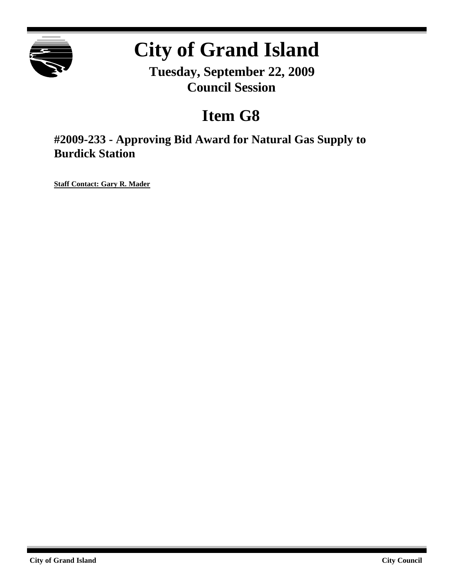

# **City of Grand Island**

**Tuesday, September 22, 2009 Council Session**

## **Item G8**

**#2009-233 - Approving Bid Award for Natural Gas Supply to Burdick Station**

**Staff Contact: Gary R. Mader**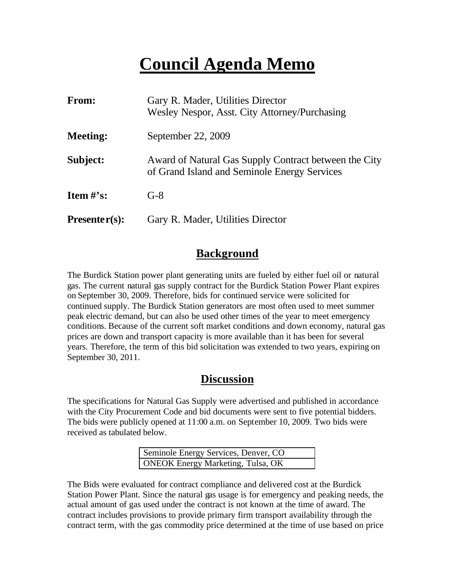## **Council Agenda Memo**

| From:                | Gary R. Mader, Utilities Director<br>Wesley Nespor, Asst. City Attorney/Purchasing                    |  |
|----------------------|-------------------------------------------------------------------------------------------------------|--|
| <b>Meeting:</b>      | September 22, 2009                                                                                    |  |
| Subject:             | Award of Natural Gas Supply Contract between the City<br>of Grand Island and Seminole Energy Services |  |
| <b>Item</b> $\#$ 's: | $G-8$                                                                                                 |  |
| $Presenter(s):$      | Gary R. Mader, Utilities Director                                                                     |  |

### **Background**

The Burdick Station power plant generating units are fueled by either fuel oil or natural gas. The current natural gas supply contract for the Burdick Station Power Plant expires on September 30, 2009. Therefore, bids for continued service were solicited for continued supply. The Burdick Station generators are most often used to meet summer peak electric demand, but can also be used other times of the year to meet emergency conditions. Because of the current soft market conditions and down economy, natural gas prices are down and transport capacity is more available than it has been for several years. Therefore, the term of this bid solicitation was extended to two years, expiring on September 30, 2011.

### **Discussion**

The specifications for Natural Gas Supply were advertised and published in accordance with the City Procurement Code and bid documents were sent to five potential bidders. The bids were publicly opened at 11:00 a.m. on September 10, 2009. Two bids were received as tabulated below.

| Seminole Energy Services, Denver, CO     |  |
|------------------------------------------|--|
| <b>ONEOK Energy Marketing, Tulsa, OK</b> |  |

The Bids were evaluated for contract compliance and delivered cost at the Burdick Station Power Plant. Since the natural gas usage is for emergency and peaking needs, the actual amount of gas used under the contract is not known at the time of award. The contract includes provisions to provide primary firm transport availability through the contract term, with the gas commodity price determined at the time of use based on price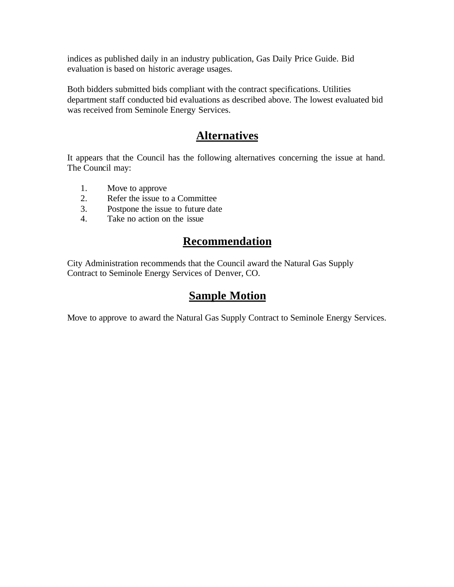indices as published daily in an industry publication, Gas Daily Price Guide. Bid evaluation is based on historic average usages.

Both bidders submitted bids compliant with the contract specifications. Utilities department staff conducted bid evaluations as described above. The lowest evaluated bid was received from Seminole Energy Services.

## **Alternatives**

It appears that the Council has the following alternatives concerning the issue at hand. The Council may:

- 1. Move to approve
- 2. Refer the issue to a Committee
- 3. Postpone the issue to future date
- 4. Take no action on the issue

## **Recommendation**

City Administration recommends that the Council award the Natural Gas Supply Contract to Seminole Energy Services of Denver, CO.

## **Sample Motion**

Move to approve to award the Natural Gas Supply Contract to Seminole Energy Services.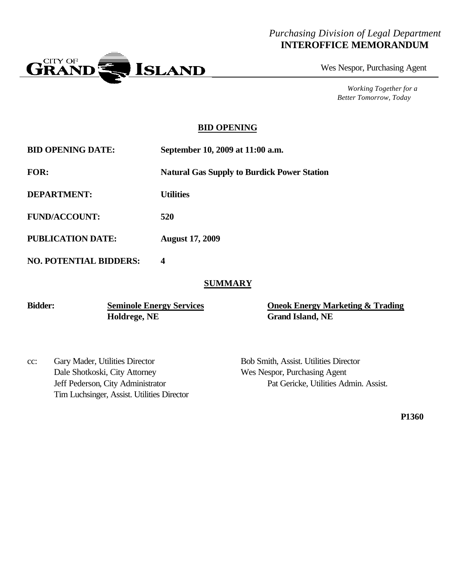#### *Purchasing Division of Legal Department* **INTEROFFICE MEMORANDUM**



Wes Nespor, Purchasing Agent

*Working Together for a Better Tomorrow, Today*

#### **BID OPENING**

| <b>BID OPENING DATE:</b>      | September 10, 2009 at 11:00 a.m.                   |  |
|-------------------------------|----------------------------------------------------|--|
| <b>FOR:</b>                   | <b>Natural Gas Supply to Burdick Power Station</b> |  |
| <b>DEPARTMENT:</b>            | <b>Utilities</b>                                   |  |
| <b>FUND/ACCOUNT:</b>          | 520                                                |  |
| <b>PUBLICATION DATE:</b>      | <b>August 17, 2009</b>                             |  |
| <b>NO. POTENTIAL BIDDERS:</b> | 4                                                  |  |

#### **SUMMARY**

**Holdrege, NE Grand Island, NE**

**Bidder: Seminole Energy Services Oneok Energy Marketing & Trading**

cc: Gary Mader, Utilities Director Bob Smith, Assist. Utilities Director Dale Shotkoski, City Attorney Wes Nespor, Purchasing Agent Tim Luchsinger, Assist. Utilities Director

Jeff Pederson, City Administrator Pat Gericke, Utilities Admin. Assist.

**P1360**